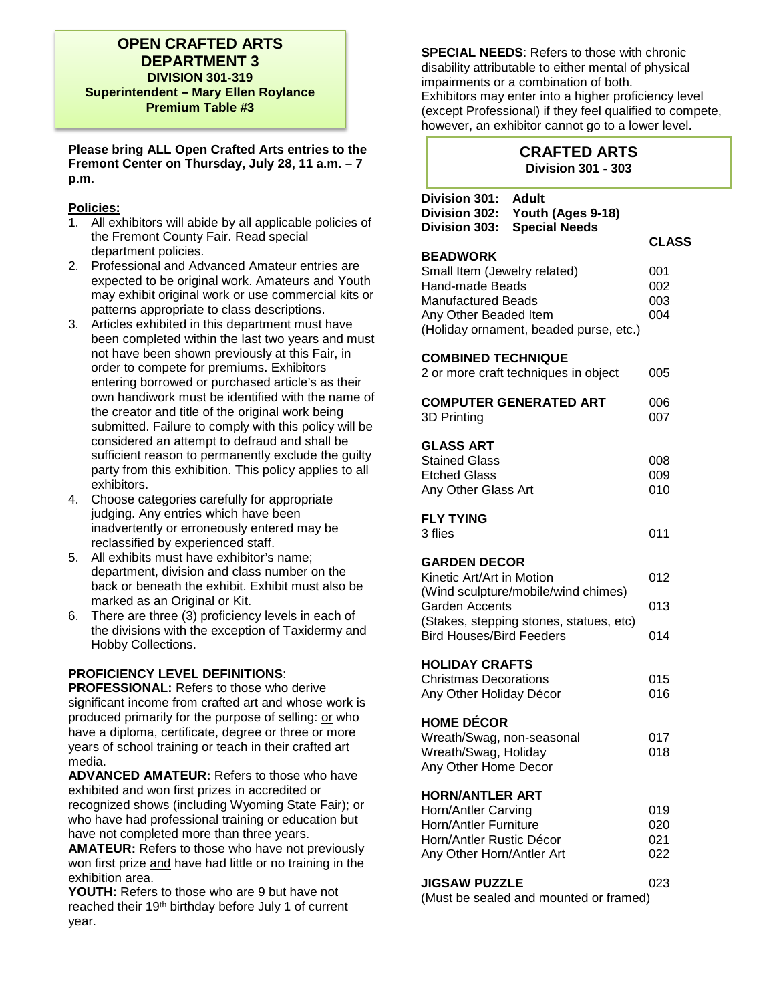### **OPEN CRAFTED ARTS DEPARTMENT 3 DIVISION 301-319 Superintendent – Mary Ellen Roylance Premium Table #3**

**Please bring ALL Open Crafted Arts entries to the Fremont Center on Thursday, July 28, 11 a.m. – 7 p.m.** 

#### **Policies:**

- 1. All exhibitors will abide by all applicable policies of the Fremont County Fair. Read special department policies.
- 2. Professional and Advanced Amateur entries are expected to be original work. Amateurs and Youth may exhibit original work or use commercial kits or patterns appropriate to class descriptions.
- 3. Articles exhibited in this department must have been completed within the last two years and must not have been shown previously at this Fair, in order to compete for premiums. Exhibitors entering borrowed or purchased article's as their own handiwork must be identified with the name of the creator and title of the original work being submitted. Failure to comply with this policy will be considered an attempt to defraud and shall be sufficient reason to permanently exclude the guilty party from this exhibition. This policy applies to all exhibitors.
- 4. Choose categories carefully for appropriate judging. Any entries which have been inadvertently or erroneously entered may be reclassified by experienced staff.
- 5. All exhibits must have exhibitor's name; department, division and class number on the back or beneath the exhibit. Exhibit must also be marked as an Original or Kit.
- 6. There are three (3) proficiency levels in each of the divisions with the exception of Taxidermy and Hobby Collections.

#### **PROFICIENCY LEVEL DEFINITIONS**:

**PROFESSIONAL:** Refers to those who derive significant income from crafted art and whose work is produced primarily for the purpose of selling: or who have a diploma, certificate, degree or three or more years of school training or teach in their crafted art media.

**ADVANCED AMATEUR:** Refers to those who have exhibited and won first prizes in accredited or recognized shows (including Wyoming State Fair); or who have had professional training or education but have not completed more than three years.

**AMATEUR:** Refers to those who have not previously won first prize and have had little or no training in the exhibition area.

**YOUTH:** Refers to those who are 9 but have not reached their 19th birthday before July 1 of current year.

**SPECIAL NEEDS**: Refers to those with chronic disability attributable to either mental of physical impairments or a combination of both. Exhibitors may enter into a higher proficiency level (except Professional) if they feel qualified to compete, however, an exhibitor cannot go to a lower level.

# **CRAFTED ARTS Division 301 - 303**

| Division 301:<br>Division 302:<br>Division 303:                                                                                 | <b>Adult</b><br>Youth (Ages 9-18)<br><b>Special Needs</b>                      |                          |
|---------------------------------------------------------------------------------------------------------------------------------|--------------------------------------------------------------------------------|--------------------------|
|                                                                                                                                 |                                                                                | <b>CLASS</b>             |
| <b>BEADWORK</b><br>Small Item (Jewelry related)<br><b>Hand-made Beads</b><br><b>Manufactured Beads</b><br>Any Other Beaded Item | (Holiday ornament, beaded purse, etc.)                                         | 001<br>002<br>003<br>004 |
| <b>COMBINED TECHNIQUE</b>                                                                                                       | 2 or more craft techniques in object                                           | 005                      |
| 3D Printing                                                                                                                     | <b>COMPUTER GENERATED ART</b>                                                  | 006<br>007               |
| <b>GLASS ART</b><br><b>Stained Glass</b><br><b>Etched Glass</b><br>Any Other Glass Art                                          |                                                                                | 008<br>009<br>010        |
| <b>FLY TYING</b><br>3 flies                                                                                                     |                                                                                | 011                      |
| <b>GARDEN DECOR</b><br>Kinetic Art/Art in Motion<br><b>Garden Accents</b><br><b>Bird Houses/Bird Feeders</b>                    | (Wind sculpture/mobile/wind chimes)<br>(Stakes, stepping stones, statues, etc) | 012<br>013<br>014        |
| <b>HOLIDAY CRAFTS</b><br><b>Christmas Decorations</b><br>Any Other Holiday Décor                                                |                                                                                | 015<br>016               |
| <b>HOME DÉCOR</b><br>Wreath/Swag, non-seasonal<br>Wreath/Swag, Holiday<br>Any Other Home Decor                                  |                                                                                | 017<br>018               |
| <b>HORN/ANTLER ART</b><br>Horn/Antler Carving<br>Horn/Antler Furniture<br>Horn/Antler Rustic Décor<br>Any Other Horn/Antler Art |                                                                                | 019<br>020<br>021<br>022 |
| <b>JIGSAW PUZZLE</b>                                                                                                            | (Must be sealed and mounted or framed)                                         | 023                      |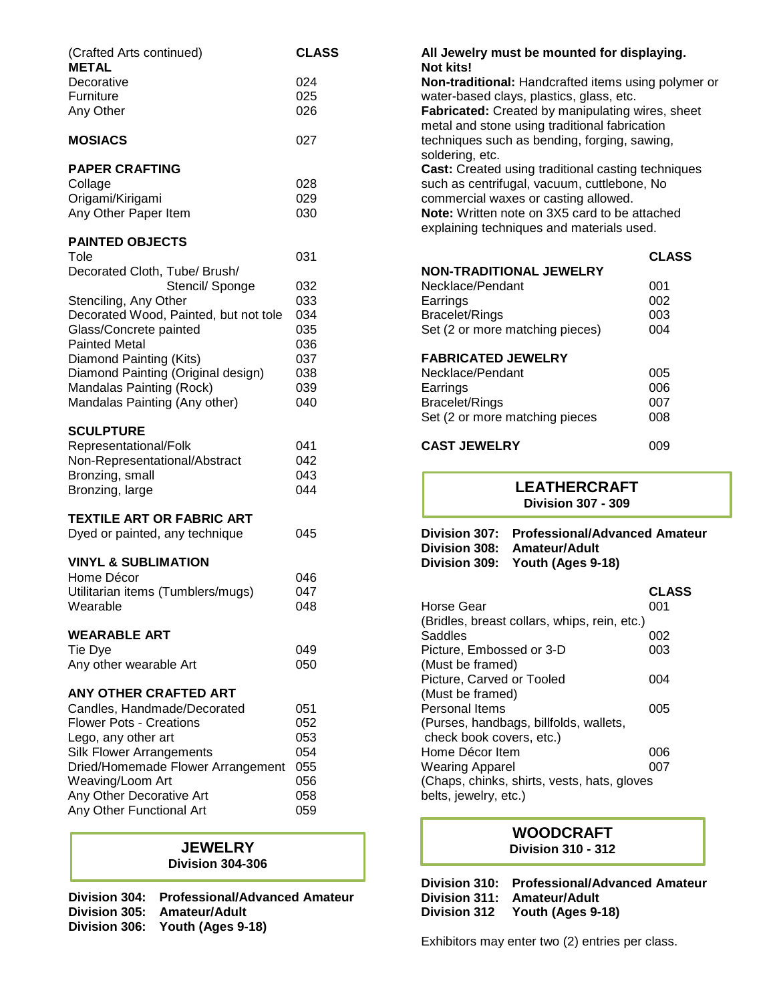| (Crafted Arts continued)<br><b>METAL</b>                                                                                                                                                                                                                                                           | <b>CLASS</b>                                                |
|----------------------------------------------------------------------------------------------------------------------------------------------------------------------------------------------------------------------------------------------------------------------------------------------------|-------------------------------------------------------------|
| Decorative<br>Furniture<br>Any Other                                                                                                                                                                                                                                                               | 024<br>025<br>026                                           |
| <b>MOSIACS</b>                                                                                                                                                                                                                                                                                     | 027                                                         |
| <b>PAPER CRAFTING</b><br>Collage<br>Origami/Kirigami<br>Any Other Paper Item                                                                                                                                                                                                                       | 028<br>029<br>030                                           |
| <b>PAINTED OBJECTS</b><br>Tole                                                                                                                                                                                                                                                                     | 031                                                         |
| Decorated Cloth, Tube/ Brush/<br>Stencil/ Sponge<br>Stenciling, Any Other<br>Decorated Wood, Painted, but not tole<br>Glass/Concrete painted<br><b>Painted Metal</b><br>Diamond Painting (Kits)<br>Diamond Painting (Original design)<br>Mandalas Painting (Rock)<br>Mandalas Painting (Any other) | 032<br>033<br>034<br>035<br>036<br>037<br>038<br>039<br>040 |
| <b>SCULPTURE</b><br>Representational/Folk<br>Non-Representational/Abstract<br>Bronzing, small<br>Bronzing, large                                                                                                                                                                                   | 041<br>042<br>043<br>044                                    |
| <b>TEXTILE ART OR FABRIC ART</b><br>Dyed or painted, any technique                                                                                                                                                                                                                                 | 045                                                         |
| <b>VINYL &amp; SUBLIMATION</b><br>Home Décor<br>Utilitarian items (Tumblers/mugs)<br>Wearable<br><b>WEARABLE ART</b><br>Tie Dye                                                                                                                                                                    | 046<br>047<br>048<br>049                                    |
| Any other wearable Art                                                                                                                                                                                                                                                                             | 050                                                         |
| <b>ANY OTHER CRAFTED ART</b><br>Candles, Handmade/Decorated<br><b>Flower Pots - Creations</b><br>Lego, any other art<br><b>Silk Flower Arrangements</b><br>Dried/Homemade Flower Arrangement<br>Weaving/Loom Art<br>Any Other Decorative Art<br>Any Other Functional Art                           | 051<br>052<br>053<br>054<br>055<br>056<br>058<br>059        |

#### **JEWELRY Division 304-306**

**Division 304: Professional/Advanced Amateur Division 305: Amateur/Adult Division 306: Youth (Ages 9-18)**

**All Jewelry must be mounted for displaying. Not kits! Non-traditional:** Handcrafted items using polymer or water-based clays, plastics, glass, etc. **Fabricated:** Created by manipulating wires, sheet metal and stone using traditional fabrication techniques such as bending, forging, sawing, soldering, etc. **Cast:** Created using traditional casting techniques such as centrifugal, vacuum, cuttlebone, No commercial waxes or casting allowed. **Note:** Written note on 3X5 card to be attached explaining techniques and materials used. **CLASS NON-TRADITIONAL JEWELRY**

| Necklace/Pendant                | 001 |
|---------------------------------|-----|
| Earrings                        | 002 |
| Bracelet/Rings                  | 003 |
| Set (2 or more matching pieces) | 004 |
|                                 |     |

#### **FABRICATED JEWELRY**

| Necklace/Pendant               | 005 |
|--------------------------------|-----|
| Earrings                       | 006 |
| Bracelet/Rings                 | 007 |
| Set (2 or more matching pieces | 008 |
|                                |     |

# **CAST JEWELRY** 009

#### **LEATHERCRAFT Division 307 - 309**

**Division 307: Professional/Advanced Amateur Division 308: Amateur/Adult Division 309: Youth (Ages 9-18)**

| M<br>۰,<br>۰. |  |
|---------------|--|
|---------------|--|

| Horse Gear                                   | በበ1 |
|----------------------------------------------|-----|
| (Bridles, breast collars, whips, rein, etc.) |     |
| Saddles                                      | 002 |
| Picture, Embossed or 3-D                     | 003 |
| (Must be framed)                             |     |
| Picture, Carved or Tooled                    | 004 |
| (Must be framed)                             |     |
| Personal Items                               | 005 |
| (Purses, handbags, billfolds, wallets,       |     |
| check book covers, etc.)                     |     |
| Home Décor Item                              | 006 |
| <b>Wearing Apparel</b>                       | 007 |
| (Chaps, chinks, shirts, vests, hats, gloves  |     |
| belts, jewelry, etc.)                        |     |

#### **WOODCRAFT Division 310 - 312**

**Division 310: Professional/Advanced Amateur Division 311: Amateur/Adult Division 312 Youth (Ages 9-18)**

Exhibitors may enter two (2) entries per class.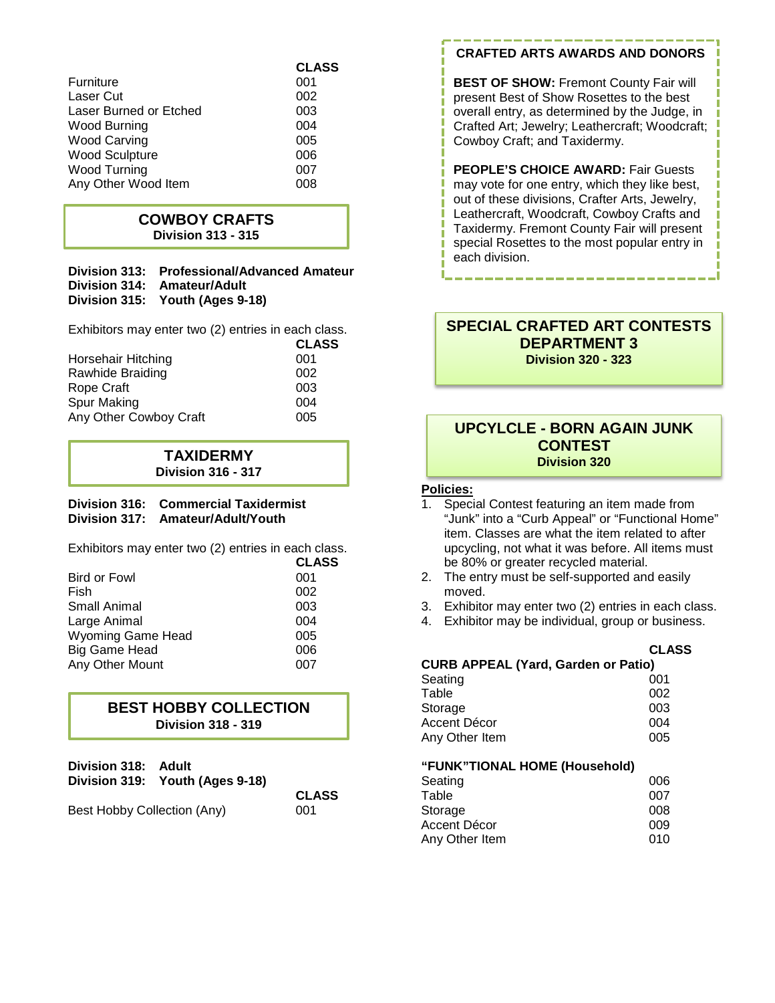|                        | <b>CLASS</b> |
|------------------------|--------------|
| Furniture              | 001          |
| Laser Cut              | 002          |
| Laser Burned or Etched | 003          |
| Wood Burning           | 004          |
| <b>Wood Carving</b>    | 005          |
| <b>Wood Sculpture</b>  | 006          |
| Wood Turning           | 007          |
| Any Other Wood Item    | 008          |

#### **COWBOY CRAFTS Division 313 - 315**

#### **Division 313: Professional/Advanced Amateur Division 314: Amateur/Adult Division 315: Youth (Ages 9-18)**

Exhibitors may enter two (2) entries in each class.

|                         | <b>CLASS</b> |
|-------------------------|--------------|
| Horsehair Hitching      | 001          |
| <b>Rawhide Braiding</b> | 002          |
| Rope Craft              | 003          |
| Spur Making             | 004          |
| Any Other Cowboy Craft  | 005          |
|                         |              |

# **TAXIDERMY Division 316 - 317**

#### **Division 316: Commercial Taxidermist Division 317: Amateur/Adult/Youth**

Exhibitors may enter two (2) entries in each class.

|                          | <b>CLASS</b> |
|--------------------------|--------------|
| <b>Bird or Fowl</b>      | 001          |
| Fish                     | 002          |
| Small Animal             | 003          |
| Large Animal             | 004          |
| <b>Wyoming Game Head</b> | 005          |
| Big Game Head            | 006          |
| Any Other Mount          | 007          |
|                          |              |

# **BEST HOBBY COLLECTION Division 318 - 319**

| Division 319: Youth (Ages 9-18)    |
|------------------------------------|
| <b>CLASS</b>                       |
| Best Hobby Collection (Any)<br>001 |
| Division 318: Adult                |

# **CRAFTED ARTS AWARDS AND DONORS**

**BEST OF SHOW: Fremont County Fair will** present Best of Show Rosettes to the best overall entry, as determined by the Judge, in Crafted Art; Jewelry; Leathercraft; Woodcraft; Cowboy Craft; and Taxidermy.

**PEOPLE'S CHOICE AWARD: Fair Guests** may vote for one entry, which they like best, out of these divisions, Crafter Arts, Jewelry, Leathercraft, Woodcraft, Cowboy Crafts and Taxidermy. Fremont County Fair will present special Rosettes to the most popular entry in each division.

### **SPECIAL CRAFTED ART CONTESTS DEPARTMENT 3 Division 320 - 323**

# **UPCYLCLE - BORN AGAIN JUNK CONTEST Division 320**

#### **Policies:**

- 1. Special Contest featuring an item made from "Junk" into a "Curb Appeal" or "Functional Home" item. Classes are what the item related to after upcycling, not what it was before. All items must be 80% or greater recycled material.
- 2. The entry must be self-supported and easily moved.
- 3. Exhibitor may enter two (2) entries in each class.
- 4. Exhibitor may be individual, group or business.

| <b>CURB APPEAL (Yard, Garden or Patio)</b> | <b>CLASS</b> |
|--------------------------------------------|--------------|
| Seating                                    | 001          |
| Table                                      | 002          |
| Storage                                    | 003          |
| Accent Décor                               | 004          |
| Any Other Item                             | 005          |

#### **"FUNK"TIONAL HOME (Household)**

| 006 |
|-----|
| 007 |
| 008 |
| 009 |
| 010 |
|     |